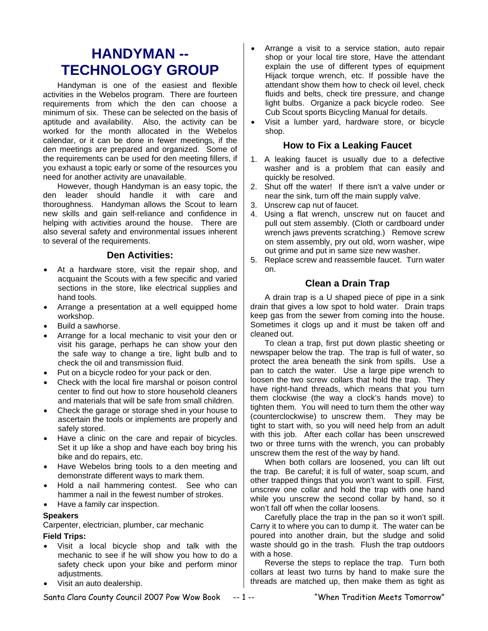## **HANDYMAN -- TECHNOLOGY GROUP**

Handyman is one of the easiest and flexible activities in the Webelos program. There are fourteen requirements from which the den can choose a minimum of six. These can be selected on the basis of aptitude and availability. Also, the activity can be worked for the month allocated in the Webelos calendar, or it can be done in fewer meetings, if the den meetings are prepared and organized. Some of the requirements can be used for den meeting fillers, if you exhaust a topic early or some of the resources you need for another activity are unavailable.

However, though Handyman is an easy topic, the den leader should handle it with care and thoroughness. Handyman allows the Scout to learn new skills and gain self-reliance and confidence in helping with activities around the house. There are also several safety and environmental issues inherent to several of the requirements.

## **Den Activities:**

- At a hardware store, visit the repair shop, and acquaint the Scouts with a few specific and varied sections in the store, like electrical supplies and hand tools.
- Arrange a presentation at a well equipped home workshop.
- Build a sawhorse.
- Arrange for a local mechanic to visit your den or visit his garage, perhaps he can show your den the safe way to change a tire, light bulb and to check the oil and transmission fluid.
- Put on a bicycle rodeo for your pack or den.
- Check with the local fire marshal or poison control center to find out how to store household cleaners and materials that will be safe from small children.
- Check the garage or storage shed in your house to ascertain the tools or implements are properly and safely stored.
- Have a clinic on the care and repair of bicycles. Set it up like a shop and have each boy bring his bike and do repairs, etc.
- Have Webelos bring tools to a den meeting and demonstrate different ways to mark them.
- Hold a nail hammering contest. See who can hammer a nail in the fewest number of strokes.
- Have a family car inspection.

## **Speakers**

Carpenter, electrician, plumber, car mechanic

## **Field Trips:**

- Visit a local bicycle shop and talk with the mechanic to see if he will show you how to do a safety check upon your bike and perform minor adjustments.
- Visit an auto dealership.
- Arrange a visit to a service station, auto repair shop or your local tire store, Have the attendant explain the use of different types of equipment Hijack torque wrench, etc. If possible have the attendant show them how to check oil level, check fluids and belts, check tire pressure, and change light bulbs. Organize a pack bicycle rodeo. See Cub Scout sports Bicycling Manual for details.
- Visit a lumber yard, hardware store, or bicycle shop.

## **How to Fix a Leaking Faucet**

- 1. A leaking faucet is usually due to a defective washer and is a problem that can easily and quickly be resolved.
- 2. Shut off the water! If there isn't a valve under or near the sink, turn off the main supply valve.
- 3. Unscrew cap nut of faucet.
- 4. Using a flat wrench, unscrew nut on faucet and pull out stem assembly. (Cloth or cardboard under wrench jaws prevents scratching.) Remove screw on stem assembly, pry out old, worn washer, wipe out grime and put in same size new washer.
- 5. Replace screw and reassemble faucet. Turn water on.

## **Clean a Drain Trap**

A drain trap is a U shaped piece of pipe in a sink drain that gives a low spot to hold water. Drain traps keep gas from the sewer from coming into the house. Sometimes it clogs up and it must be taken off and cleaned out.

To clean a trap, first put down plastic sheeting or newspaper below the trap. The trap is full of water, so protect the area beneath the sink from spills. Use a pan to catch the water. Use a large pipe wrench to loosen the two screw collars that hold the trap. They have right-hand threads, which means that you turn them clockwise (the way a clock's hands move) to tighten them. You will need to turn them the other way (counterclockwise) to unscrew them. They may be tight to start with, so you will need help from an adult with this job. After each collar has been unscrewed two or three turns with the wrench, you can probably unscrew them the rest of the way by hand.

When both collars are loosened, you can lift out the trap. Be careful; it is full of water, soap scum, and other trapped things that you won't want to spill. First, unscrew one collar and hold the trap with one hand while you unscrew the second collar by hand, so it won't fall off when the collar loosens.

Carefully place the trap in the pan so it won't spill. Carry it to where you can to dump it. The water can be poured into another drain, but the sludge and solid waste should go in the trash. Flush the trap outdoors with a hose.

Reverse the steps to replace the trap. Turn both collars at least two turns by hand to make sure the threads are matched up, then make them as tight as

Santa Clara County Council 2007 Pow Wow Book -- 1 -- "When Tradition Meets Tomorrow"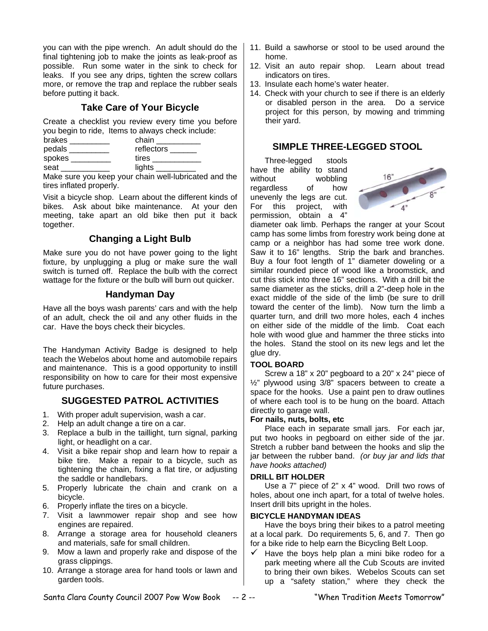you can with the pipe wrench. An adult should do the final tightening job to make the joints as leak-proof as possible. Run some water in the sink to check for leaks. If you see any drips, tighten the screw collars more, or remove the trap and replace the rubber seals before putting it back.

## **Take Care of Your Bicycle**

Create a checklist you review every time you before you begin to ride, Items to always check include:

| brakes | chain      |
|--------|------------|
| pedals | reflectors |
| spokes | tires      |
| seat   | lights     |

Make sure you keep your chain well-lubricated and the tires inflated properly.

Visit a bicycle shop. Learn about the different kinds of bikes. Ask about bike maintenance. At your den meeting, take apart an old bike then put it back together.

## **Changing a Light Bulb**

Make sure you do not have power going to the light fixture, by unplugging a plug or make sure the wall switch is turned off. Replace the bulb with the correct wattage for the fixture or the bulb will burn out quicker.

## **Handyman Day**

Have all the boys wash parents' cars and with the help of an adult, check the oil and any other fluids in the car. Have the boys check their bicycles.

The Handyman Activity Badge is designed to help teach the Webelos about home and automobile repairs and maintenance. This is a good opportunity to instill responsibility on how to care for their most expensive future purchases.

## **SUGGESTED PATROL ACTIVITIES**

- 1. With proper adult supervision, wash a car.
- 2. Help an adult change a tire on a car.
- 3. Replace a bulb in the taillight, turn signal, parking light, or headlight on a car.
- 4. Visit a bike repair shop and learn how to repair a bike tire. Make a repair to a bicycle, such as tightening the chain, fixing a flat tire, or adjusting the saddle or handlebars.
- 5. Properly lubricate the chain and crank on a bicycle.
- 6. Properly inflate the tires on a bicycle.
- 7. Visit a lawnmower repair shop and see how engines are repaired.
- 8. Arrange a storage area for household cleaners and materials, safe for small children.
- 9. Mow a lawn and properly rake and dispose of the grass clippings.
- 10. Arrange a storage area for hand tools or lawn and garden tools.
- 11. Build a sawhorse or stool to be used around the home.
- 12. Visit an auto repair shop. Learn about tread indicators on tires.
- 13. Insulate each home's water heater.
- 14. Check with your church to see if there is an elderly or disabled person in the area. Do a service project for this person, by mowing and trimming their yard.

## **SIMPLE THREE-LEGGED STOOL**

Three-legged stools have the ability to stand without wobbling regardless of how unevenly the legs are cut. For this project, with permission, obtain a 4"



diameter oak limb. Perhaps the ranger at your Scout camp has some limbs from forestry work being done at camp or a neighbor has had some tree work done. Saw it to 16" lengths. Strip the bark and branches. Buy a four foot length of 1" diameter doweling or a similar rounded piece of wood like a broomstick, and cut this stick into three 16" sections. With a drill bit the same diameter as the sticks, drill a 2"-deep hole in the exact middle of the side of the limb (be sure to drill toward the center of the limb). Now turn the limb a quarter turn, and drill two more holes, each 4 inches on either side of the middle of the limb. Coat each hole with wood glue and hammer the three sticks into the holes. Stand the stool on its new legs and let the glue dry.

## **TOOL BOARD**

Screw a 18" x 20" pegboard to a 20" x 24" piece of ½" plywood using 3/8" spacers between to create a space for the hooks. Use a paint pen to draw outlines of where each tool is to be hung on the board. Attach directly to garage wall.

## **For nails, nuts, bolts, etc**

Place each in separate small jars. For each jar, put two hooks in pegboard on either side of the jar. Stretch a rubber band between the hooks and slip the jar between the rubber band. *(or buy jar and lids that have hooks attached)*

## **DRILL BIT HOLDER**

Use a 7" piece of 2" x 4" wood. Drill two rows of holes, about one inch apart, for a total of twelve holes. Insert drill bits upright in the holes.

## **BICYCLE HANDYMAN IDEAS**

Have the boys bring their bikes to a patrol meeting at a local park. Do requirements 5, 6, and 7. Then go for a bike ride to help earn the Bicycling Belt Loop.

 $\checkmark$  Have the boys help plan a mini bike rodeo for a park meeting where all the Cub Scouts are invited to bring their own bikes. Webelos Scouts can set up a "safety station," where they check the

Santa Clara County Council 2007 Pow Wow Book -- 2 -- "When Tradition Meets Tomorrow"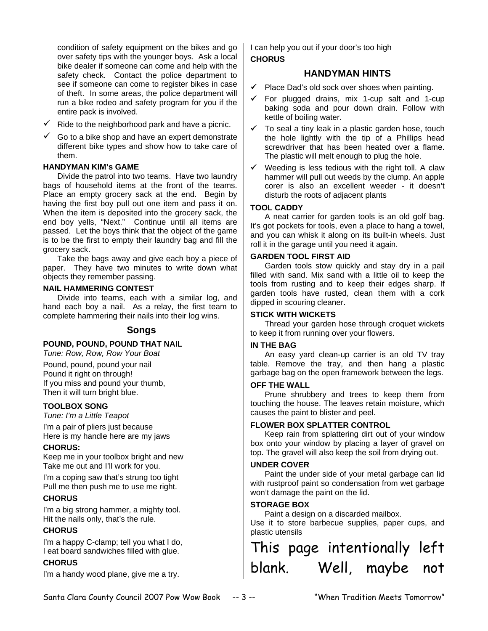condition of safety equipment on the bikes and go over safety tips with the younger boys. Ask a local bike dealer if someone can come and help with the safety check. Contact the police department to see if someone can come to register bikes in case of theft. In some areas, the police department will run a bike rodeo and safety program for you if the entire pack is involved.

- $\checkmark$  Ride to the neighborhood park and have a picnic.
- $\checkmark$  Go to a bike shop and have an expert demonstrate different bike types and show how to take care of them.

#### **HANDYMAN KIM's GAME**

Divide the patrol into two teams. Have two laundry bags of household items at the front of the teams. Place an empty grocery sack at the end. Begin by having the first boy pull out one item and pass it on. When the item is deposited into the grocery sack, the end boy yells, "Next." Continue until all items are passed. Let the boys think that the object of the game is to be the first to empty their laundry bag and fill the grocery sack.

Take the bags away and give each boy a piece of paper. They have two minutes to write down what objects they remember passing.

#### **NAIL HAMMERING CONTEST**

Divide into teams, each with a similar log, and hand each boy a nail. As a relay, the first team to complete hammering their nails into their log wins.

## **Songs**

## **POUND, POUND, POUND THAT NAIL**

*Tune: Row, Row, Row Your Boat* 

Pound, pound, pound your nail Pound it right on through! If you miss and pound your thumb, Then it will turn bright blue.

## **TOOLBOX SONG**

*Tune: I'm a Little Teapot* 

I'm a pair of pliers just because Here is my handle here are my jaws

#### **CHORUS:**

Keep me in your toolbox bright and new Take me out and I'll work for you.

I'm a coping saw that's strung too tight Pull me then push me to use me right.

## **CHORUS**

I'm a big strong hammer, a mighty tool. Hit the nails only, that's the rule.

## **CHORUS**

I'm a happy C-clamp; tell you what I do, I eat board sandwiches filled with glue.

## **CHORUS**

I'm a handy wood plane, give me a try.

I can help you out if your door's too high **CHORUS** 

## **HANDYMAN HINTS**

- $\checkmark$  Place Dad's old sock over shoes when painting.
- $\checkmark$  For plugged drains, mix 1-cup salt and 1-cup baking soda and pour down drain. Follow with kettle of boiling water.
- $\checkmark$  To seal a tiny leak in a plastic garden hose, touch the hole lightly with the tip of a Phillips head screwdriver that has been heated over a flame. The plastic will melt enough to plug the hole.
- $\checkmark$  Weeding is less tedious with the right toll. A claw hammer will pull out weeds by the clump. An apple corer is also an excellent weeder - it doesn't disturb the roots of adjacent plants

## **TOOL CADDY**

A neat carrier for garden tools is an old golf bag. It's got pockets for tools, even a place to hang a towel, and you can whisk it along on its built-in wheels. Just roll it in the garage until you need it again.

#### **GARDEN TOOL FIRST AID**

Garden tools stow quickly and stay dry in a pail filled with sand. Mix sand with a little oil to keep the tools from rusting and to keep their edges sharp. If garden tools have rusted, clean them with a cork dipped in scouring cleaner.

#### **STICK WITH WICKETS**

Thread your garden hose through croquet wickets to keep it from running over your flowers.

#### **IN THE BAG**

An easy yard clean-up carrier is an old TV tray table. Remove the tray, and then hang a plastic garbage bag on the open framework between the legs.

#### **OFF THE WALL**

Prune shrubbery and trees to keep them from touching the house. The leaves retain moisture, which causes the paint to blister and peel.

## **FLOWER BOX SPLATTER CONTROL**

Keep rain from splattering dirt out of your window box onto your window by placing a layer of gravel on top. The gravel will also keep the soil from drying out.

#### **UNDER COVER**

Paint the under side of your metal garbage can lid with rustproof paint so condensation from wet garbage won't damage the paint on the lid.

## **STORAGE BOX**

Paint a design on a discarded mailbox.

Use it to store barbecue supplies, paper cups, and plastic utensils

# This page intentionally left blank. Well, maybe not